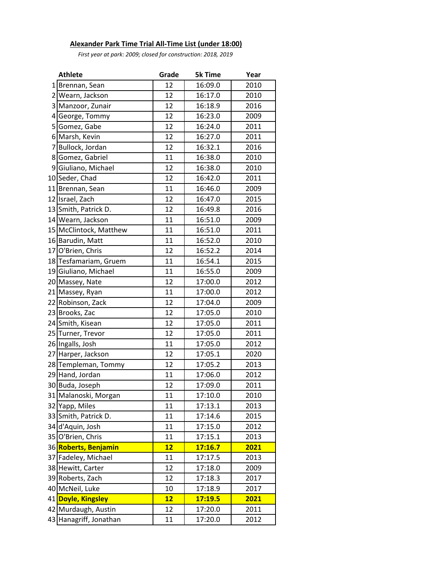## **Alexander Park Time Trial All-Time List (under 18:00)**

*First year at park: 2009; closed for construction: 2018, 2019*

|                | <b>Athlete</b>         | Grade | <b>5k Time</b> | Year |
|----------------|------------------------|-------|----------------|------|
| $1\vert$       | Brennan, Sean          | 12    | 16:09.0        | 2010 |
| 2              | Wearn, Jackson         | 12    | 16:17.0        | 2010 |
| 3              | Manzoor, Zunair        | 12    | 16:18.9        | 2016 |
| 4              | George, Tommy          | 12    | 16:23.0        | 2009 |
| 5              | Gomez, Gabe            | 12    | 16:24.0        | 2011 |
|                | 6 Marsh, Kevin         | 12    | 16:27.0        | 2011 |
| $\overline{7}$ | Bullock, Jordan        | 12    | 16:32.1        | 2016 |
| 8              | Gomez, Gabriel         | 11    | 16:38.0        | 2010 |
| 9              | Giuliano, Michael      | 12    | 16:38.0        | 2010 |
|                | 10 Seder, Chad         | 12    | 16:42.0        | 2011 |
|                | 11 Brennan, Sean       | 11    | 16:46.0        | 2009 |
|                | 12 Israel, Zach        | 12    | 16:47.0        | 2015 |
|                | 13 Smith, Patrick D.   | 12    | 16:49.8        | 2016 |
|                | 14 Wearn, Jackson      | 11    | 16:51.0        | 2009 |
|                | 15 McClintock, Matthew | 11    | 16:51.0        | 2011 |
|                | 16 Barudin, Matt       | 11    | 16:52.0        | 2010 |
|                | 17 O'Brien, Chris      | 12    | 16:52.2        | 2014 |
|                | 18 Tesfamariam, Gruem  | 11    | 16:54.1        | 2015 |
|                | 19 Giuliano, Michael   | 11    | 16:55.0        | 2009 |
|                | 20 Massey, Nate        | 12    | 17:00.0        | 2012 |
|                | 21 Massey, Ryan        | 11    | 17:00.0        | 2012 |
|                | 22 Robinson, Zack      | 12    | 17:04.0        | 2009 |
| 23             | Brooks, Zac            | 12    | 17:05.0        | 2010 |
|                | 24 Smith, Kisean       | 12    | 17:05.0        | 2011 |
| 25             | Turner, Trevor         | 12    | 17:05.0        | 2011 |
|                | 26 Ingalls, Josh       | 11    | 17:05.0        | 2012 |
| 27             | Harper, Jackson        | 12    | 17:05.1        | 2020 |
| 28             | Templeman, Tommy       | 12    | 17:05.2        | 2013 |
|                | 29 Hand, Jordan        | 11    | 17:06.0        | 2012 |
|                | 30 Buda, Joseph        | 12    | 17:09.0        | 2011 |
|                | 31 Malanoski, Morgan   | 11    | 17:10.0        | 2010 |
| 32             | Yapp, Miles            | 11    | 17:13.1        | 2013 |
|                | 33 Smith, Patrick D.   | 11    | 17:14.6        | 2015 |
|                | 34 d'Aquin, Josh       | 11    | 17:15.0        | 2012 |
| 35             | O'Brien, Chris         | 11    | 17:15.1        | 2013 |
|                | 36 Roberts, Benjamin   | 12    | 17:16.7        | 2021 |
| 37             | Fadeley, Michael       | 11    | 17:17.5        | 2013 |
|                | 38 Hewitt, Carter      | 12    | 17:18.0        | 2009 |
|                | 39 Roberts, Zach       | 12    | 17:18.3        | 2017 |
|                | 40 McNeil, Luke        | 10    | 17:18.9        | 2017 |
|                | 41 Doyle, Kingsley     | 12    | 17:19.5        | 2021 |
|                | 42 Murdaugh, Austin    | 12    | 17:20.0        | 2011 |
|                | 43 Hanagriff, Jonathan | 11    | 17:20.0        | 2012 |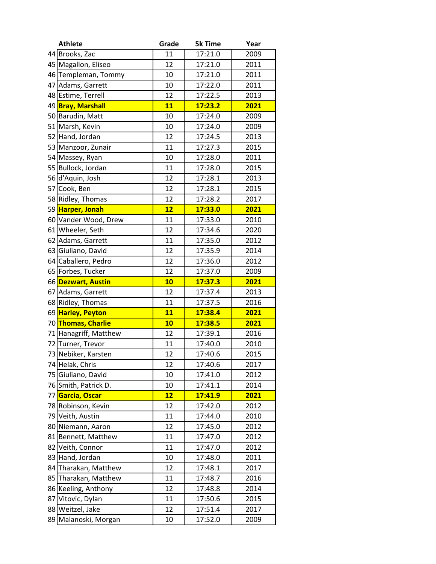|    | <b>Athlete</b>        | Grade | <b>5k Time</b> | Year |
|----|-----------------------|-------|----------------|------|
|    | 44 Brooks, Zac        | 11    | 17:21.0        | 2009 |
|    | 45 Magallon, Eliseo   | 12    | 17:21.0        | 2011 |
|    | 46 Templeman, Tommy   | 10    | 17:21.0        | 2011 |
| 47 | Adams, Garrett        | 10    | 17:22.0        | 2011 |
|    | 48 Estime, Terrell    | 12    | 17:22.5        | 2013 |
|    | 49 Bray, Marshall     | 11    | 17:23.2        | 2021 |
|    | 50 Barudin, Matt      | 10    | 17:24.0        | 2009 |
|    | 51 Marsh, Kevin       | 10    | 17:24.0        | 2009 |
|    | 52 Hand, Jordan       | 12    | 17:24.5        | 2013 |
|    | 53 Manzoor, Zunair    | 11    | 17:27.3        | 2015 |
|    | 54 Massey, Ryan       | 10    | 17:28.0        | 2011 |
|    | 55 Bullock, Jordan    | 11    | 17:28.0        | 2015 |
|    | 56 d'Aquin, Josh      | 12    | 17:28.1        | 2013 |
|    | 57 Cook, Ben          | 12    | 17:28.1        | 2015 |
|    | 58 Ridley, Thomas     | 12    | 17:28.2        | 2017 |
|    | 59 Harper, Jonah      | 12    | 17:33.0        | 2021 |
|    | 60 Vander Wood, Drew  | 11    | 17:33.0        | 2010 |
|    | 61 Wheeler, Seth      | 12    | 17:34.6        | 2020 |
|    | 62 Adams, Garrett     | 11    | 17:35.0        | 2012 |
|    | 63 Giuliano, David    | 12    | 17:35.9        | 2014 |
|    | 64 Caballero, Pedro   | 12    | 17:36.0        | 2012 |
|    | 65 Forbes, Tucker     | 12    | 17:37.0        | 2009 |
|    | 66 Dezwart, Austin    | 10    | 17:37.3        | 2021 |
|    | 67 Adams, Garrett     | 12    | 17:37.4        | 2013 |
|    | 68 Ridley, Thomas     | 11    | 17:37.5        | 2016 |
|    | 69 Harley, Peyton     | 11    | 17:38.4        | 2021 |
|    | 70 Thomas, Charlie    | 10    | 17:38.5        | 2021 |
|    | 71 Hanagriff, Matthew | 12    | 17:39.1        | 2016 |
|    | 72 Turner, Trevor     | 11    | 17:40.0        | 2010 |
|    | 73 Nebiker, Karsten   | 12    | 17:40.6        | 2015 |
|    | 74 Helak, Chris       | 12    | 17:40.6        | 2017 |
|    | 75 Giuliano, David    | 10    | 17:41.0        | 2012 |
|    | 76 Smith, Patrick D.  | 10    | 17:41.1        | 2014 |
|    | 77 Garcia, Oscar      | 12    | 17:41.9        | 2021 |
|    | 78 Robinson, Kevin    | 12    | 17:42.0        | 2012 |
|    | 79 Veith, Austin      | 11    | 17:44.0        | 2010 |
|    | 80 Niemann, Aaron     | 12    | 17:45.0        | 2012 |
|    | 81 Bennett, Matthew   | 11    | 17:47.0        | 2012 |
|    | 82 Veith, Connor      | 11    | 17:47.0        | 2012 |
|    | 83 Hand, Jordan       | 10    | 17:48.0        | 2011 |
|    | 84 Tharakan, Matthew  | 12    | 17:48.1        | 2017 |
|    | 85 Tharakan, Matthew  | 11    | 17:48.7        | 2016 |
|    | 86 Keeling, Anthony   | 12    | 17:48.8        | 2014 |
|    | 87 Vitovic, Dylan     | 11    | 17:50.6        | 2015 |
|    | 88 Weitzel, Jake      | 12    | 17:51.4        | 2017 |
|    | 89 Malanoski, Morgan  | 10    | 17:52.0        | 2009 |